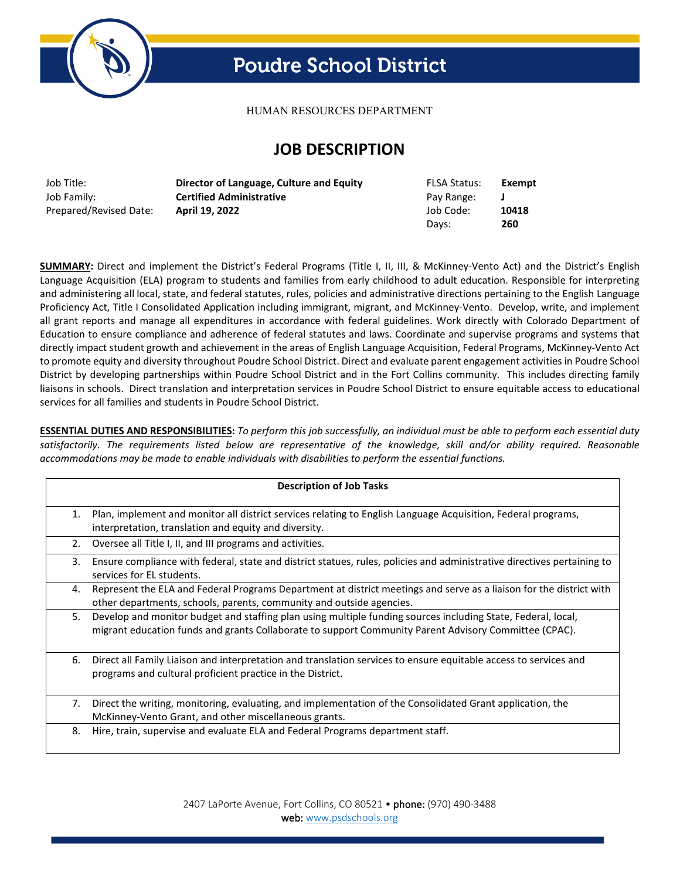

# **Poudre School District**

HUMAN RESOURCES DEPARTMENT

# **JOB DESCRIPTION**

| Job Title:             | Director of Language, Culture and Equity | <b>FLSA Status:</b> | Exempt |
|------------------------|------------------------------------------|---------------------|--------|
| Job Family:            | <b>Certified Administrative</b>          | Pay Range:          |        |
| Prepared/Revised Date: | April 19, 2022                           | Job Code:           | 10418  |
|                        |                                          | Davs:               | 260    |

**SUMMARY:** Direct and implement the District's Federal Programs (Title I, II, III, & McKinney-Vento Act) and the District's English Language Acquisition (ELA) program to students and families from early childhood to adult education. Responsible for interpreting and administering all local, state, and federal statutes, rules, policies and administrative directions pertaining to the English Language Proficiency Act, Title I Consolidated Application including immigrant, migrant, and McKinney-Vento. Develop, write, and implement all grant reports and manage all expenditures in accordance with federal guidelines. Work directly with Colorado Department of Education to ensure compliance and adherence of federal statutes and laws. Coordinate and supervise programs and systems that directly impact student growth and achievement in the areas of English Language Acquisition, Federal Programs, McKinney-Vento Act to promote equity and diversity throughout Poudre School District. Direct and evaluate parent engagement activities in Poudre School District by developing partnerships within Poudre School District and in the Fort Collins community. This includes directing family liaisons in schools. Direct translation and interpretation services in Poudre School District to ensure equitable access to educational services for all families and students in Poudre School District.

**ESSENTIAL DUTIES AND RESPONSIBILITIES:** *To perform this job successfully, an individual must be able to perform each essential duty satisfactorily. The requirements listed below are representative of the knowledge, skill and/or ability required. Reasonable accommodations may be made to enable individuals with disabilities to perform the essential functions.* 

|    | <b>Description of Job Tasks</b>                                                                                                                                                                                       |
|----|-----------------------------------------------------------------------------------------------------------------------------------------------------------------------------------------------------------------------|
| 1. | Plan, implement and monitor all district services relating to English Language Acquisition, Federal programs,<br>interpretation, translation and equity and diversity.                                                |
| 2. | Oversee all Title I, II, and III programs and activities.                                                                                                                                                             |
| 3. | Ensure compliance with federal, state and district statues, rules, policies and administrative directives pertaining to<br>services for EL students.                                                                  |
| 4. | Represent the ELA and Federal Programs Department at district meetings and serve as a liaison for the district with<br>other departments, schools, parents, community and outside agencies.                           |
| 5. | Develop and monitor budget and staffing plan using multiple funding sources including State, Federal, local,<br>migrant education funds and grants Collaborate to support Community Parent Advisory Committee (CPAC). |
| 6. | Direct all Family Liaison and interpretation and translation services to ensure equitable access to services and<br>programs and cultural proficient practice in the District.                                        |
| 7. | Direct the writing, monitoring, evaluating, and implementation of the Consolidated Grant application, the<br>McKinney-Vento Grant, and other miscellaneous grants.                                                    |
| 8. | Hire, train, supervise and evaluate ELA and Federal Programs department staff.                                                                                                                                        |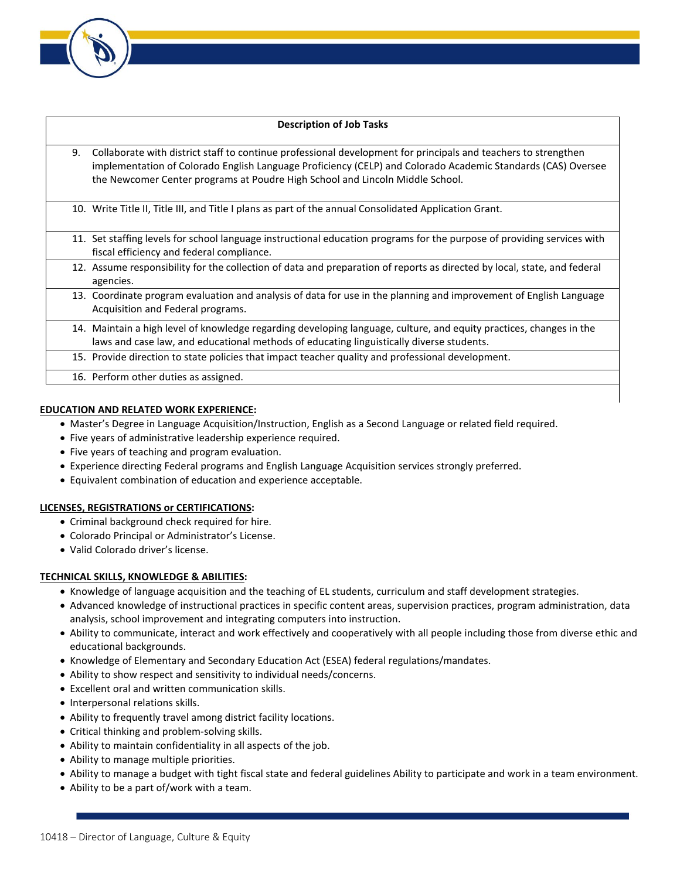

|    | <b>Description of Job Tasks</b>                                                                                                                                                                                                                                                                                 |
|----|-----------------------------------------------------------------------------------------------------------------------------------------------------------------------------------------------------------------------------------------------------------------------------------------------------------------|
| 9. | Collaborate with district staff to continue professional development for principals and teachers to strengthen<br>implementation of Colorado English Language Proficiency (CELP) and Colorado Academic Standards (CAS) Oversee<br>the Newcomer Center programs at Poudre High School and Lincoln Middle School. |
|    | 10. Write Title II, Title III, and Title I plans as part of the annual Consolidated Application Grant.                                                                                                                                                                                                          |
|    | 11. Set staffing levels for school language instructional education programs for the purpose of providing services with<br>fiscal efficiency and federal compliance.                                                                                                                                            |
|    | 12. Assume responsibility for the collection of data and preparation of reports as directed by local, state, and federal<br>agencies.                                                                                                                                                                           |
|    | 13. Coordinate program evaluation and analysis of data for use in the planning and improvement of English Language<br>Acquisition and Federal programs.                                                                                                                                                         |
|    | 14. Maintain a high level of knowledge regarding developing language, culture, and equity practices, changes in the<br>laws and case law, and educational methods of educating linguistically diverse students.                                                                                                 |
|    | 15. Provide direction to state policies that impact teacher quality and professional development.                                                                                                                                                                                                               |
|    | 16. Perform other duties as assigned.                                                                                                                                                                                                                                                                           |
|    |                                                                                                                                                                                                                                                                                                                 |

## **EDUCATION AND RELATED WORK EXPERIENCE:**

- Master's Degree in Language Acquisition/Instruction, English as a Second Language or related field required.
- Five years of administrative leadership experience required.
- Five years of teaching and program evaluation.
- Experience directing Federal programs and English Language Acquisition services strongly preferred.
- Equivalent combination of education and experience acceptable.

#### **LICENSES, REGISTRATIONS or CERTIFICATIONS:**

- Criminal background check required for hire.
- Colorado Principal or Administrator's License.
- Valid Colorado driver's license.

#### **TECHNICAL SKILLS, KNOWLEDGE & ABILITIES:**

- Knowledge of language acquisition and the teaching of EL students, curriculum and staff development strategies.
- Advanced knowledge of instructional practices in specific content areas, supervision practices, program administration, data analysis, school improvement and integrating computers into instruction.
- Ability to communicate, interact and work effectively and cooperatively with all people including those from diverse ethic and educational backgrounds.
- Knowledge of Elementary and Secondary Education Act (ESEA) federal regulations/mandates.
- Ability to show respect and sensitivity to individual needs/concerns.
- Excellent oral and written communication skills.
- Interpersonal relations skills.
- Ability to frequently travel among district facility locations.
- Critical thinking and problem-solving skills.
- Ability to maintain confidentiality in all aspects of the job.
- Ability to manage multiple priorities.
- Ability to manage a budget with tight fiscal state and federal guidelines Ability to participate and work in a team environment.
- Ability to be a part of/work with a team.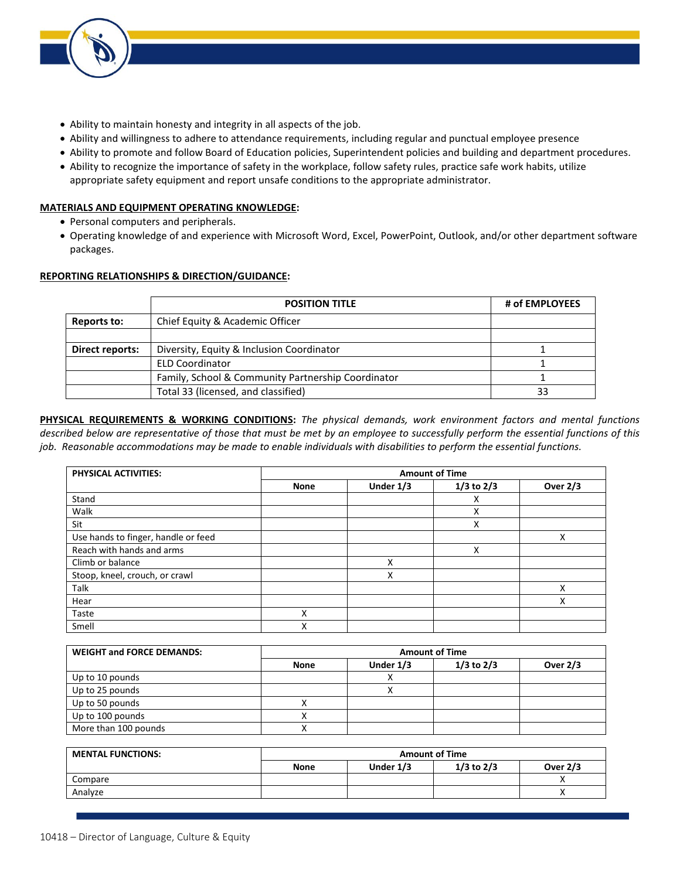

- Ability to maintain honesty and integrity in all aspects of the job.
- Ability and willingness to adhere to attendance requirements, including regular and punctual employee presence
- Ability to promote and follow Board of Education policies, Superintendent policies and building and department procedures.
- Ability to recognize the importance of safety in the workplace, follow safety rules, practice safe work habits, utilize appropriate safety equipment and report unsafe conditions to the appropriate administrator.

### **MATERIALS AND EQUIPMENT OPERATING KNOWLEDGE:**

- Personal computers and peripherals.
- Operating knowledge of and experience with Microsoft Word, Excel, PowerPoint, Outlook, and/or other department software packages.

# **REPORTING RELATIONSHIPS & DIRECTION/GUIDANCE:**

|                 | <b>POSITION TITLE</b>                              | # of EMPLOYEES |
|-----------------|----------------------------------------------------|----------------|
| Reports to:     | Chief Equity & Academic Officer                    |                |
|                 |                                                    |                |
| Direct reports: | Diversity, Equity & Inclusion Coordinator          |                |
|                 | <b>ELD Coordinator</b>                             |                |
|                 | Family, School & Community Partnership Coordinator |                |
|                 | Total 33 (licensed, and classified)                | 33             |

**PHYSICAL REQUIREMENTS & WORKING CONDITIONS:** *The physical demands, work environment factors and mental functions described below are representative of those that must be met by an employee to successfully perform the essential functions of this job. Reasonable accommodations may be made to enable individuals with disabilities to perform the essential functions.*

| <b>PHYSICAL ACTIVITIES:</b>         | <b>Amount of Time</b> |             |                |                 |
|-------------------------------------|-----------------------|-------------|----------------|-----------------|
|                                     | <b>None</b>           | Under $1/3$ | $1/3$ to $2/3$ | <b>Over 2/3</b> |
| Stand                               |                       |             | х              |                 |
| Walk                                |                       |             | X              |                 |
| Sit                                 |                       |             | X              |                 |
| Use hands to finger, handle or feed |                       |             |                | x               |
| Reach with hands and arms           |                       |             | X              |                 |
| Climb or balance                    |                       | Χ           |                |                 |
| Stoop, kneel, crouch, or crawl      |                       | x           |                |                 |
| Talk                                |                       |             |                | x               |
| Hear                                |                       |             |                | x               |
| Taste                               | X                     |             |                |                 |
| Smell                               | X                     |             |                |                 |

| <b>WEIGHT and FORCE DEMANDS:</b> | <b>Amount of Time</b> |             |                |                 |
|----------------------------------|-----------------------|-------------|----------------|-----------------|
|                                  | <b>None</b>           | Under $1/3$ | $1/3$ to $2/3$ | <b>Over 2/3</b> |
| Up to 10 pounds                  |                       |             |                |                 |
| Up to 25 pounds                  |                       |             |                |                 |
| Up to 50 pounds                  |                       |             |                |                 |
| Up to 100 pounds                 |                       |             |                |                 |
| More than 100 pounds             |                       |             |                |                 |

| <b>MENTAL FUNCTIONS:</b> | <b>Amount of Time</b> |           |                |                 |
|--------------------------|-----------------------|-----------|----------------|-----------------|
|                          | <b>None</b>           | Under 1/3 | $1/3$ to $2/3$ | <b>Over 2/3</b> |
| Compare                  |                       |           |                |                 |
| Analyze                  |                       |           |                |                 |